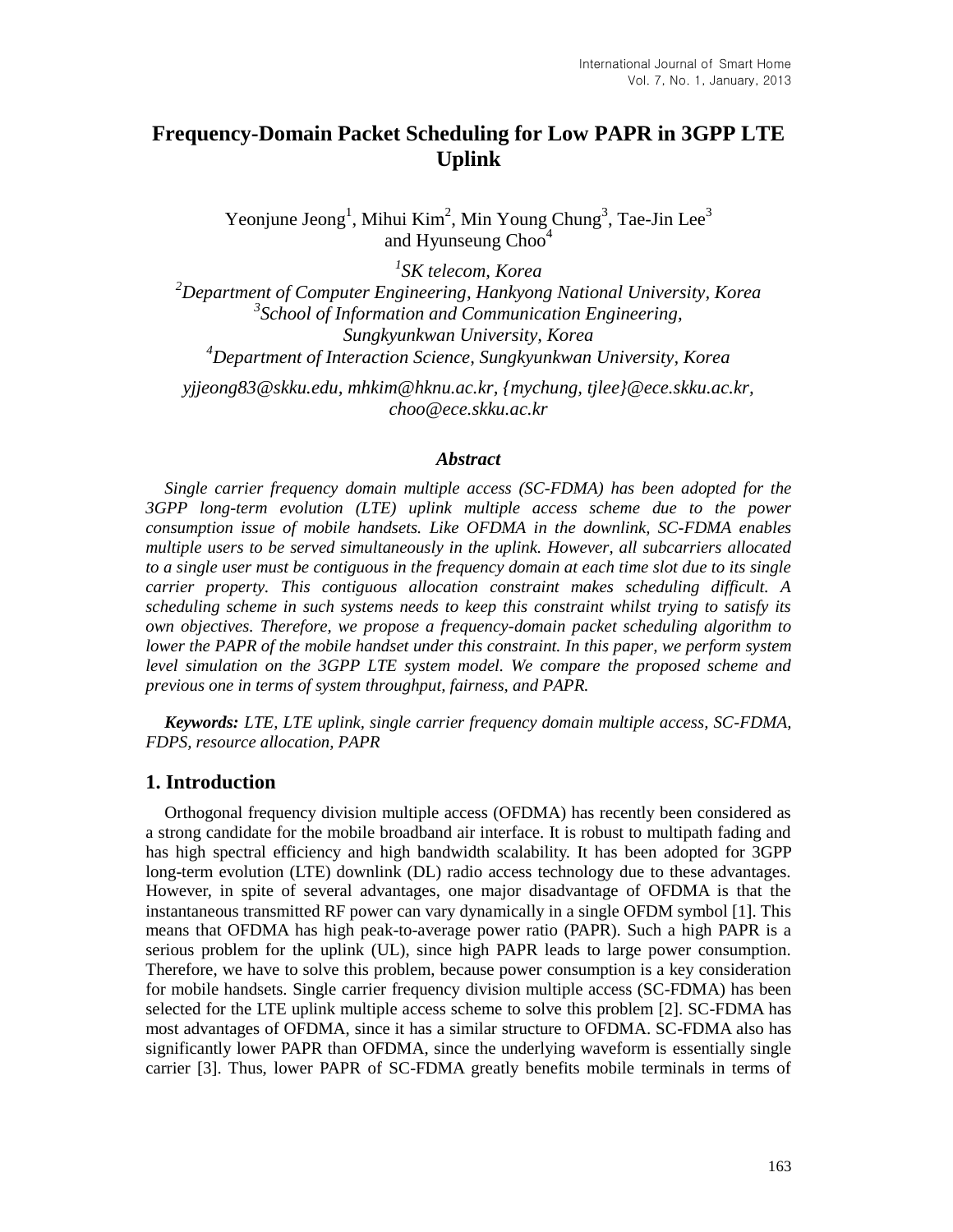# **Frequency-Domain Packet Scheduling for Low PAPR in 3GPP LTE Uplink**

Yeonjune Jeong<sup>1</sup>, Mihui Kim<sup>2</sup>, Min Young Chung<sup>3</sup>, Tae-Jin Lee<sup>3</sup> and Hyunseung Choo<sup>4</sup>

 *SK telecom, Korea Department of Computer Engineering, Hankyong National University, Korea School of Information and Communication Engineering, Sungkyunkwan University, Korea Department of Interaction Science, Sungkyunkwan University, Korea*

*yjjeong83@skku.edu, mhkim@hknu.ac.kr, {mychung, tjlee}@ece.skku.ac.kr, choo@ece.skku.ac.kr*

#### *Abstract*

*Single carrier frequency domain multiple access (SC-FDMA) has been adopted for the 3GPP long-term evolution (LTE) uplink multiple access scheme due to the power consumption issue of mobile handsets. Like OFDMA in the downlink, SC-FDMA enables multiple users to be served simultaneously in the uplink. However, all subcarriers allocated to a single user must be contiguous in the frequency domain at each time slot due to its single carrier property. This contiguous allocation constraint makes scheduling difficult. A scheduling scheme in such systems needs to keep this constraint whilst trying to satisfy its own objectives. Therefore, we propose a frequency-domain packet scheduling algorithm to lower the PAPR of the mobile handset under this constraint. In this paper, we perform system level simulation on the 3GPP LTE system model. We compare the proposed scheme and previous one in terms of system throughput, fairness, and PAPR.*

*Keywords: LTE, LTE uplink, single carrier frequency domain multiple access, SC-FDMA, FDPS, resource allocation, PAPR*

# **1. Introduction**

Orthogonal frequency division multiple access (OFDMA) has recently been considered as a strong candidate for the mobile broadband air interface. It is robust to multipath fading and has high spectral efficiency and high bandwidth scalability. It has been adopted for 3GPP long-term evolution (LTE) downlink (DL) radio access technology due to these advantages. However, in spite of several advantages, one major disadvantage of OFDMA is that the instantaneous transmitted RF power can vary dynamically in a single OFDM symbol [1]. This means that OFDMA has high peak-to-average power ratio (PAPR). Such a high PAPR is a serious problem for the uplink (UL), since high PAPR leads to large power consumption. Therefore, we have to solve this problem, because power consumption is a key consideration for mobile handsets. Single carrier frequency division multiple access (SC-FDMA) has been selected for the LTE uplink multiple access scheme to solve this problem [2]. SC-FDMA has most advantages of OFDMA, since it has a similar structure to OFDMA. SC-FDMA also has significantly lower PAPR than OFDMA, since the underlying waveform is essentially single carrier [3]. Thus, lower PAPR of SC-FDMA greatly benefits mobile terminals in terms of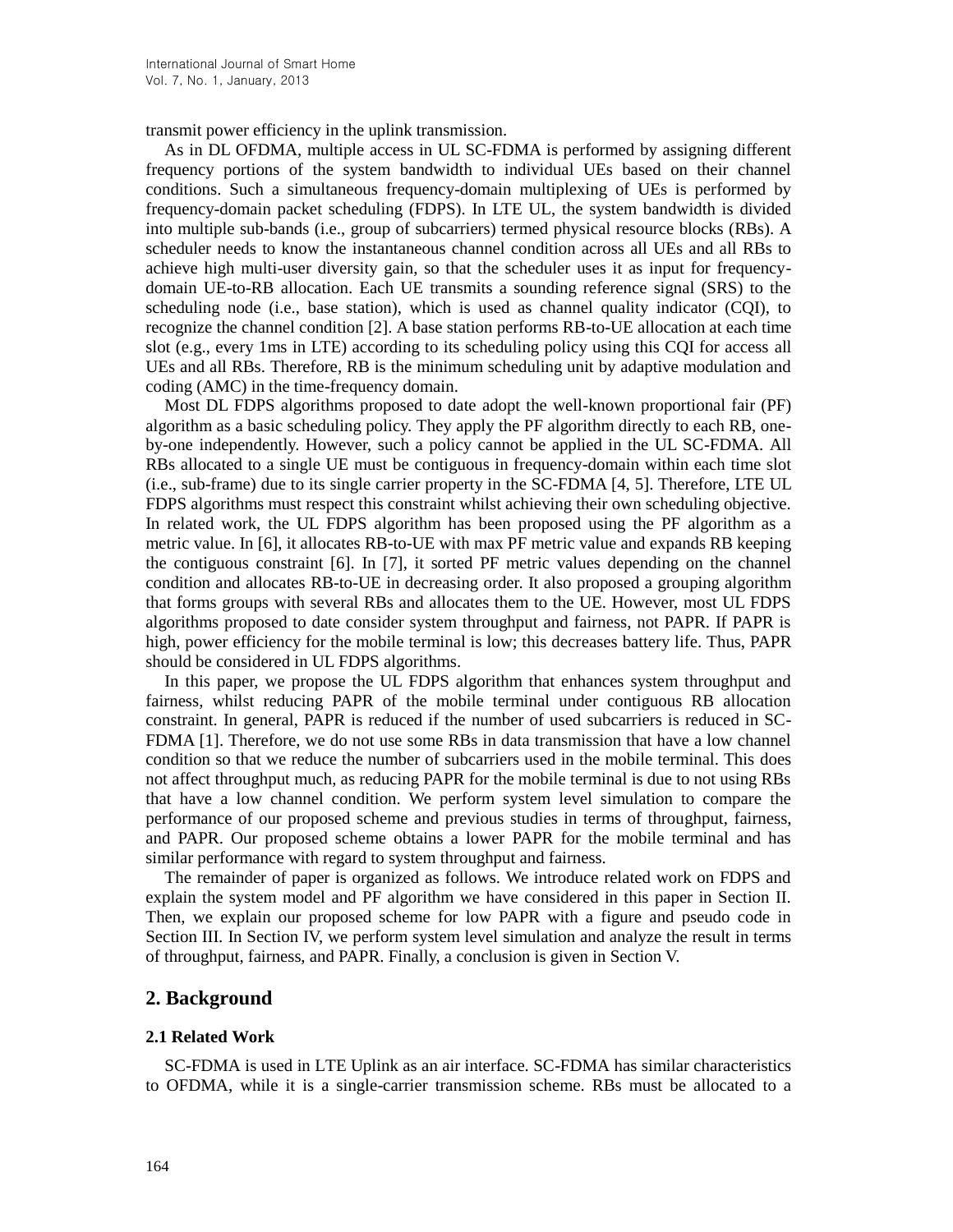transmit power efficiency in the uplink transmission.

As in DL OFDMA, multiple access in UL SC-FDMA is performed by assigning different frequency portions of the system bandwidth to individual UEs based on their channel conditions. Such a simultaneous frequency-domain multiplexing of UEs is performed by frequency-domain packet scheduling (FDPS). In LTE UL, the system bandwidth is divided into multiple sub-bands (i.e., group of subcarriers) termed physical resource blocks (RBs). A scheduler needs to know the instantaneous channel condition across all UEs and all RBs to achieve high multi-user diversity gain, so that the scheduler uses it as input for frequencydomain UE-to-RB allocation. Each UE transmits a sounding reference signal (SRS) to the scheduling node (i.e., base station), which is used as channel quality indicator (CQI), to recognize the channel condition [2]. A base station performs RB-to-UE allocation at each time slot (e.g., every 1ms in LTE) according to its scheduling policy using this CQI for access all UEs and all RBs. Therefore, RB is the minimum scheduling unit by adaptive modulation and coding (AMC) in the time-frequency domain.

Most DL FDPS algorithms proposed to date adopt the well-known proportional fair (PF) algorithm as a basic scheduling policy. They apply the PF algorithm directly to each RB, oneby-one independently. However, such a policy cannot be applied in the UL SC-FDMA. All RBs allocated to a single UE must be contiguous in frequency-domain within each time slot (i.e., sub-frame) due to its single carrier property in the SC-FDMA [4, 5]. Therefore, LTE UL FDPS algorithms must respect this constraint whilst achieving their own scheduling objective. In related work, the UL FDPS algorithm has been proposed using the PF algorithm as a metric value. In [6], it allocates RB-to-UE with max PF metric value and expands RB keeping the contiguous constraint [6]. In [7], it sorted PF metric values depending on the channel condition and allocates RB-to-UE in decreasing order. It also proposed a grouping algorithm that forms groups with several RBs and allocates them to the UE. However, most UL FDPS algorithms proposed to date consider system throughput and fairness, not PAPR. If PAPR is high, power efficiency for the mobile terminal is low; this decreases battery life. Thus, PAPR should be considered in UL FDPS algorithms.

In this paper, we propose the UL FDPS algorithm that enhances system throughput and fairness, whilst reducing PAPR of the mobile terminal under contiguous RB allocation constraint. In general, PAPR is reduced if the number of used subcarriers is reduced in SC-FDMA [1]. Therefore, we do not use some RBs in data transmission that have a low channel condition so that we reduce the number of subcarriers used in the mobile terminal. This does not affect throughput much, as reducing PAPR for the mobile terminal is due to not using RBs that have a low channel condition. We perform system level simulation to compare the performance of our proposed scheme and previous studies in terms of throughput, fairness, and PAPR. Our proposed scheme obtains a lower PAPR for the mobile terminal and has similar performance with regard to system throughput and fairness.

The remainder of paper is organized as follows. We introduce related work on FDPS and explain the system model and PF algorithm we have considered in this paper in Section II. Then, we explain our proposed scheme for low PAPR with a figure and pseudo code in Section III. In Section IV, we perform system level simulation and analyze the result in terms of throughput, fairness, and PAPR. Finally, a conclusion is given in Section V.

#### **2. Background**

#### **2.1 Related Work**

SC-FDMA is used in LTE Uplink as an air interface. SC-FDMA has similar characteristics to OFDMA, while it is a single-carrier transmission scheme. RBs must be allocated to a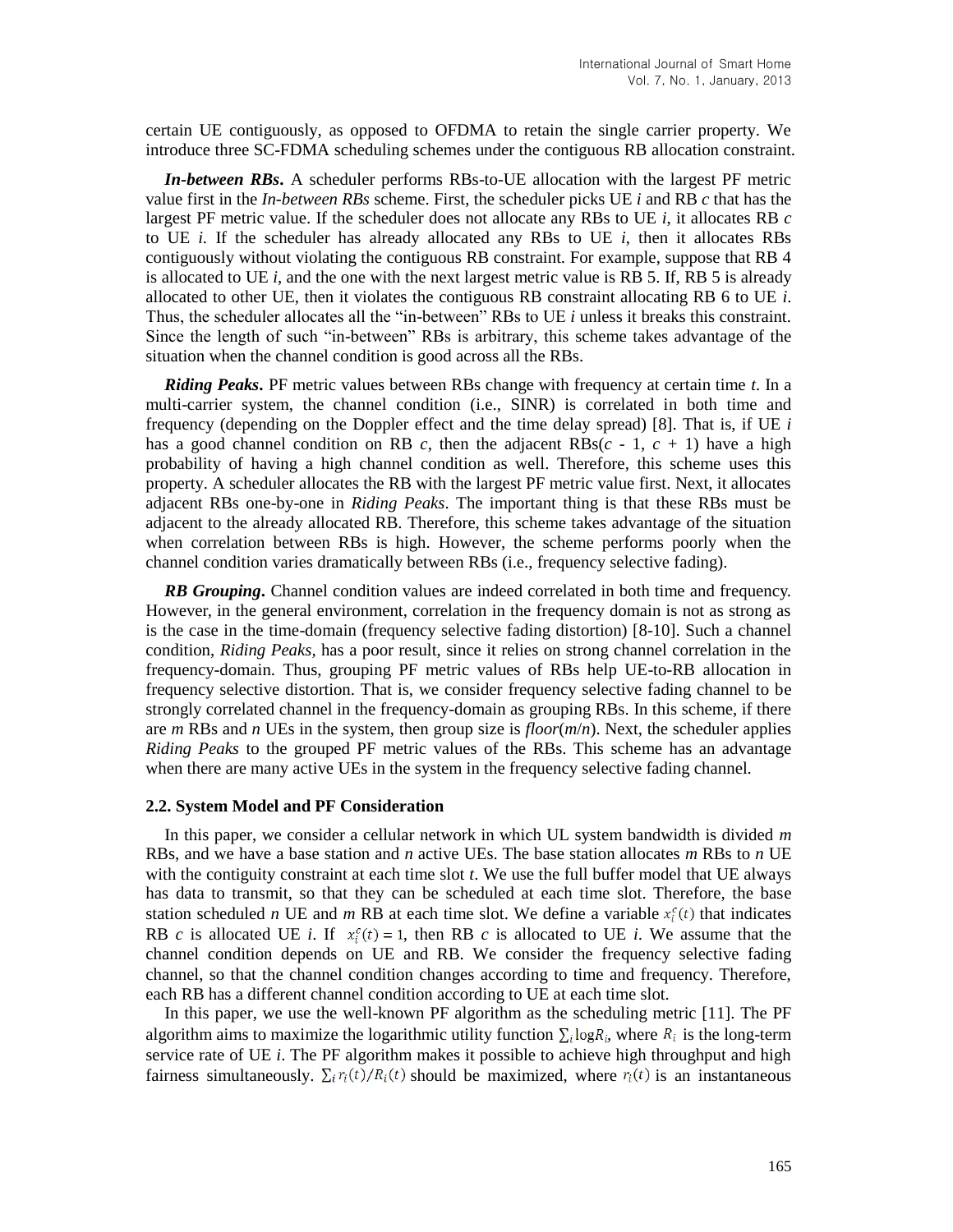certain UE contiguously, as opposed to OFDMA to retain the single carrier property. We introduce three SC-FDMA scheduling schemes under the contiguous RB allocation constraint.

*In-between RBs***.** A scheduler performs RBs-to-UE allocation with the largest PF metric value first in the *In-between RBs* scheme. First, the scheduler picks UE *i* and RB *c* that has the largest PF metric value. If the scheduler does not allocate any RBs to UE *i*, it allocates RB *c* to UE  $i$ . If the scheduler has already allocated any RBs to UE  $i$ , then it allocates RBs contiguously without violating the contiguous RB constraint. For example, suppose that RB 4 is allocated to UE  $i$ , and the one with the next largest metric value is RB 5. If, RB 5 is already allocated to other UE, then it violates the contiguous RB constraint allocating RB 6 to UE *i*. Thus, the scheduler allocates all the "in-between" RBs to UE *i* unless it breaks this constraint. Since the length of such "in-between" RBs is arbitrary, this scheme takes advantage of the situation when the channel condition is good across all the RBs.

*Riding Peaks***.** PF metric values between RBs change with frequency at certain time *t*. In a multi-carrier system, the channel condition (i.e., SINR) is correlated in both time and frequency (depending on the Doppler effect and the time delay spread) [8]. That is, if UE *i* has a good channel condition on RB  $c$ , then the adjacent RBs( $c - 1$ ,  $c + 1$ ) have a high probability of having a high channel condition as well. Therefore, this scheme uses this property. A scheduler allocates the RB with the largest PF metric value first. Next, it allocates adjacent RBs one-by-one in *Riding Peaks*. The important thing is that these RBs must be adjacent to the already allocated RB. Therefore, this scheme takes advantage of the situation when correlation between RBs is high. However, the scheme performs poorly when the channel condition varies dramatically between RBs (i.e., frequency selective fading).

*RB Grouping***.** Channel condition values are indeed correlated in both time and frequency. However, in the general environment, correlation in the frequency domain is not as strong as is the case in the time-domain (frequency selective fading distortion) [8-10]. Such a channel condition, *Riding Peaks,* has a poor result, since it relies on strong channel correlation in the frequency-domain. Thus, grouping PF metric values of RBs help UE-to-RB allocation in frequency selective distortion. That is, we consider frequency selective fading channel to be strongly correlated channel in the frequency-domain as grouping RBs. In this scheme, if there are *m* RBs and *n* UEs in the system, then group size is *floor*(*m*/*n*). Next, the scheduler applies *Riding Peaks* to the grouped PF metric values of the RBs. This scheme has an advantage when there are many active UEs in the system in the frequency selective fading channel.

#### **2.2. System Model and PF Consideration**

In this paper, we consider a cellular network in which UL system bandwidth is divided *m* RBs, and we have a base station and *n* active UEs. The base station allocates *m* RBs to *n* UE with the contiguity constraint at each time slot *t*. We use the full buffer model that UE always has data to transmit, so that they can be scheduled at each time slot. Therefore, the base station scheduled *n* UE and *m* RB at each time slot. We define a variable  $x_i^c(t)$  that indicates RB *c* is allocated UE *i*. If  $x_i^c(t) = 1$ , then RB *c* is allocated to UE *i*. We assume that the channel condition depends on UE and RB. We consider the frequency selective fading channel, so that the channel condition changes according to time and frequency. Therefore, each RB has a different channel condition according to UE at each time slot.

In this paper, we use the well-known PF algorithm as the scheduling metric [11]. The PF algorithm aims to maximize the logarithmic utility function  $\sum_i \log R_i$ , where  $R_i$  is the long-term service rate of UE *i*. The PF algorithm makes it possible to achieve high throughput and high fairness simultaneously.  $\Sigma_i r_i(t)/R_i(t)$  should be maximized, where  $r_i(t)$  is an instantaneous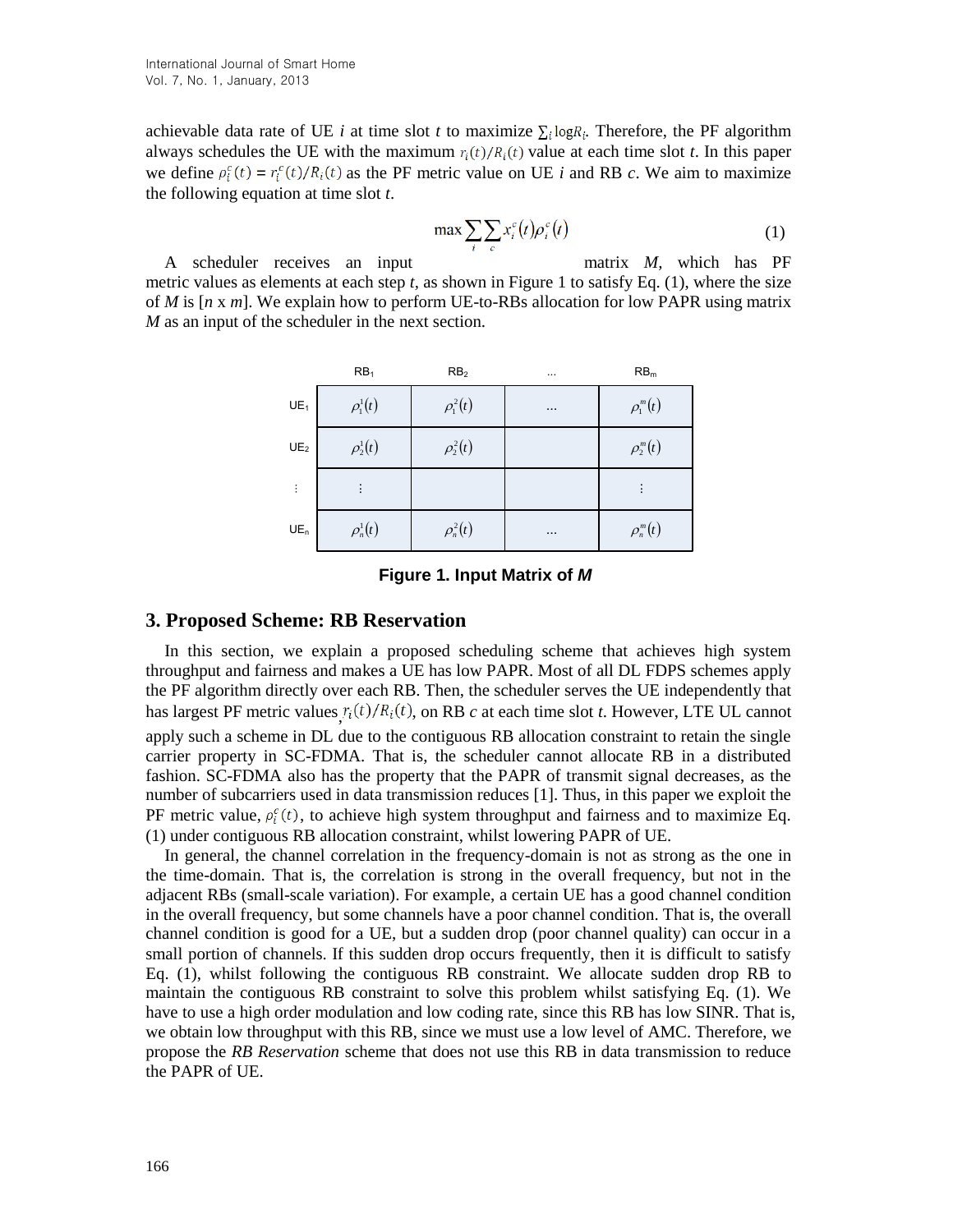achievable data rate of UE *i* at time slot *t* to maximize  $\sum_i \log R_i$ . Therefore, the PF algorithm always schedules the UE with the maximum  $r_i(t)/R_i(t)$  value at each time slot *t*. In this paper we define  $\rho_i^c(t) = r_i^c(t)/R_i(t)$  as the PF metric value on UE *i* and RB *c*. We aim to maximize the following equation at time slot *t*.

$$
\max \sum_{i} \sum_{c} x_i^c(t) \rho_i^c(t) \tag{1}
$$

A scheduler receives an input matrix *M*, which has PF metric values as elements at each step *t,* as shown in Figure 1 to satisfy Eq. (1), where the size of *M* is [*n* x *m*]. We explain how to perform UE-to-RBs allocation for low PAPR using matrix *M* as an input of the scheduler in the next section.

|                            | RB <sub>1</sub>           | RB <sub>2</sub>   | $\cdots$ | RB <sub>m</sub> |  |
|----------------------------|---------------------------|-------------------|----------|-----------------|--|
| UE <sub>1</sub>            | $\rho_{\rm l}^{\rm l}(t)$ | $\rho_{1}^{2}(t)$ | $\cdots$ | $\rho_1^m(t)$   |  |
| $\mathsf{UE}_2$            | $\rho_2^1(t)$             | $\rho_2^2(t)$     |          | $\rho_2^m(t)$   |  |
| ÷.                         |                           |                   |          |                 |  |
| $\mathsf{UE}_{\mathsf{n}}$ | $\rho_n^{\text{I}}(t)$    | $\rho_n^2(t)$     | $\cdots$ | $\rho_n^m(t)$   |  |

### **Figure 1. Input Matrix of** *M*

#### **3. Proposed Scheme: RB Reservation**

In this section, we explain a proposed scheduling scheme that achieves high system throughput and fairness and makes a UE has low PAPR. Most of all DL FDPS schemes apply the PF algorithm directly over each RB. Then, the scheduler serves the UE independently that has largest PF metric values  $r_i(t)/R_i(t)$ , on RB *c* at each time slot *t*. However, LTE UL cannot apply such a scheme in DL due to the contiguous RB allocation constraint to retain the single carrier property in SC-FDMA. That is, the scheduler cannot allocate RB in a distributed fashion. SC-FDMA also has the property that the PAPR of transmit signal decreases, as the number of subcarriers used in data transmission reduces [1]. Thus, in this paper we exploit the PF metric value,  $\rho_i^c(t)$ , to achieve high system throughput and fairness and to maximize Eq. (1) under contiguous RB allocation constraint, whilst lowering PAPR of UE.

In general, the channel correlation in the frequency-domain is not as strong as the one in the time-domain. That is, the correlation is strong in the overall frequency, but not in the adjacent RBs (small-scale variation). For example, a certain UE has a good channel condition in the overall frequency, but some channels have a poor channel condition. That is, the overall channel condition is good for a UE, but a sudden drop (poor channel quality) can occur in a small portion of channels. If this sudden drop occurs frequently, then it is difficult to satisfy Eq. (1), whilst following the contiguous RB constraint. We allocate sudden drop RB to maintain the contiguous RB constraint to solve this problem whilst satisfying Eq. (1). We have to use a high order modulation and low coding rate, since this RB has low SINR. That is, we obtain low throughput with this RB, since we must use a low level of AMC. Therefore, we propose the *RB Reservation* scheme that does not use this RB in data transmission to reduce the PAPR of UE.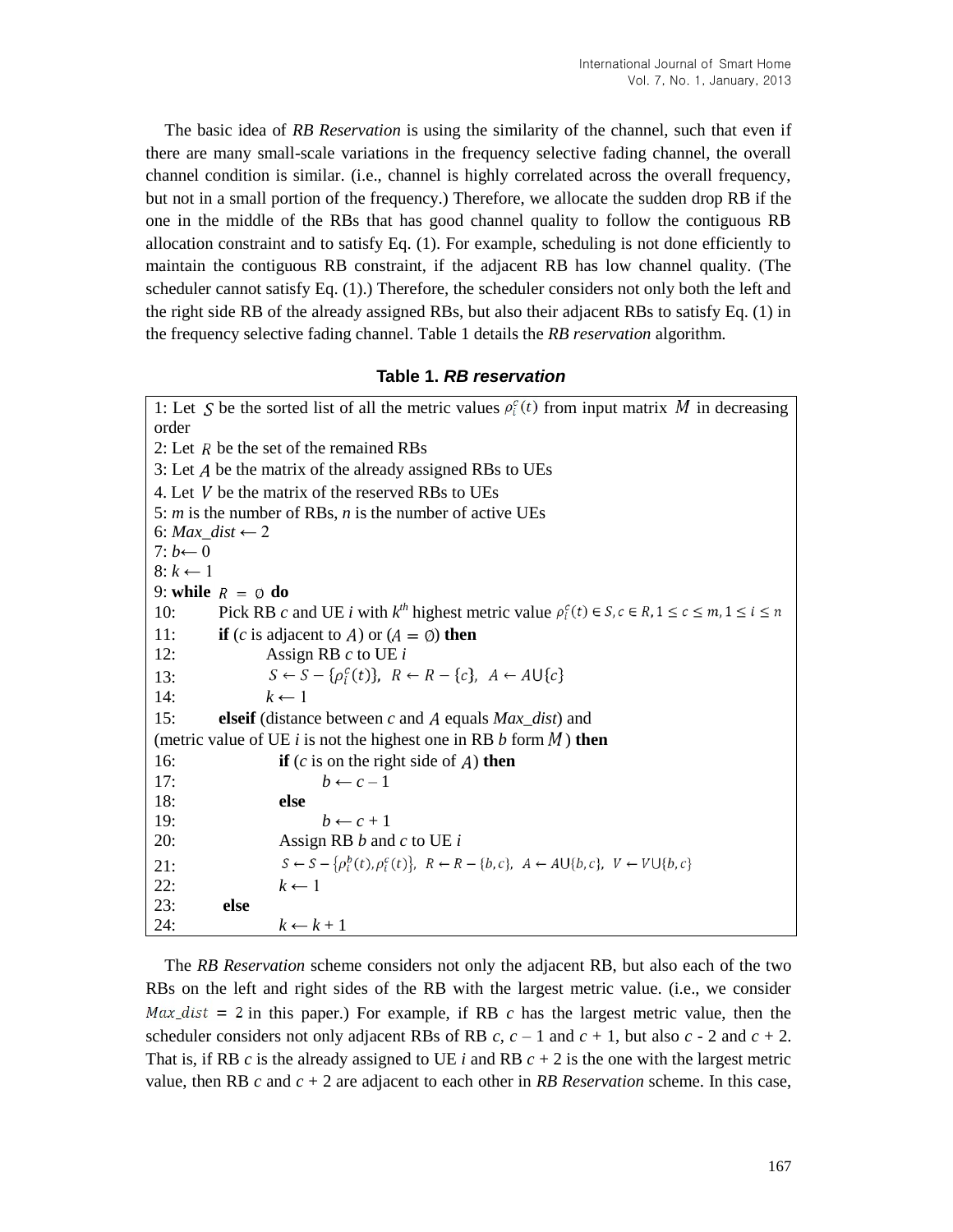The basic idea of *RB Reservation* is using the similarity of the channel, such that even if there are many small-scale variations in the frequency selective fading channel, the overall channel condition is similar. (i.e., channel is highly correlated across the overall frequency, but not in a small portion of the frequency.) Therefore, we allocate the sudden drop RB if the one in the middle of the RBs that has good channel quality to follow the contiguous RB allocation constraint and to satisfy Eq. (1). For example, scheduling is not done efficiently to maintain the contiguous RB constraint, if the adjacent RB has low channel quality. (The scheduler cannot satisfy Eq. (1).) Therefore, the scheduler considers not only both the left and the right side RB of the already assigned RBs, but also their adjacent RBs to satisfy Eq. (1) in the frequency selective fading channel. Table 1 details the *RB reservation* algorithm.

# **Table 1.** *RB reservation*

1: Let S be the sorted list of all the metric values  $\rho_i^c(t)$  from input matrix M in decreasing order 2: Let  $R$  be the set of the remained RBs 3: Let  $A$  be the matrix of the already assigned RBs to UEs 4. Let  $V$  be the matrix of the reserved RBs to UEs 5: *m* is the number of RBs, *n* is the number of active UEs 6: *Max\_dist*  $\leftarrow$  2  $7: b \leftarrow 0$  $8: k \leftarrow 1$ 9: **while**  $R = \emptyset$  **do** 10: Pick RB  $c$  and UE  $i$  with  $k^{th}$  highest metric value 11: **if** (*c* is adjacent to *A*) or ( $A = \emptyset$ ) then 12: Assign RB *c* to UE *i* 13:  $S \leftarrow S - \{\rho_i^c(t)\}, R \leftarrow R - \{c\}, A \leftarrow A \cup \{c\}$ 14:  $k \leftarrow 1$ 15: **elseif** (distance between *c* and *A* equals *Max\_dist*) and (metric value of UE  $i$  is not the highest one in RB  $b$  form  $M$ ) then 16: **if**  $(c$  is on the right side of  $A$ ) **then** 17:  $b \leftarrow c-1$ 18: **else** 19:  $b \leftarrow c + 1$ 20: Assign RB *b* and *c* to UE *i*  $S \leftarrow S - \left\{\rho_i^b(t), \rho_i^c(t)\right\}, R \leftarrow R - \left\{b, c\right\}, A \leftarrow A \cup \left\{b, c\right\}, V \leftarrow V \cup \left\{b, c\right\}$ 21: 22:  $k \leftarrow 1$ 23: **else** 24:  $k \leftarrow k+1$ 

The *RB Reservation* scheme considers not only the adjacent RB, but also each of the two RBs on the left and right sides of the RB with the largest metric value. (i.e., we consider  $Max\_dist = 2$  in this paper.) For example, if RB *c* has the largest metric value, then the scheduler considers not only adjacent RBs of RB  $c$ ,  $c - 1$  and  $c + 1$ , but also  $c - 2$  and  $c + 2$ . That is, if RB *c* is the already assigned to UE *i* and RB *c* + 2 is the one with the largest metric value, then RB *c* and *c* + 2 are adjacent to each other in *RB Reservation* scheme. In this case,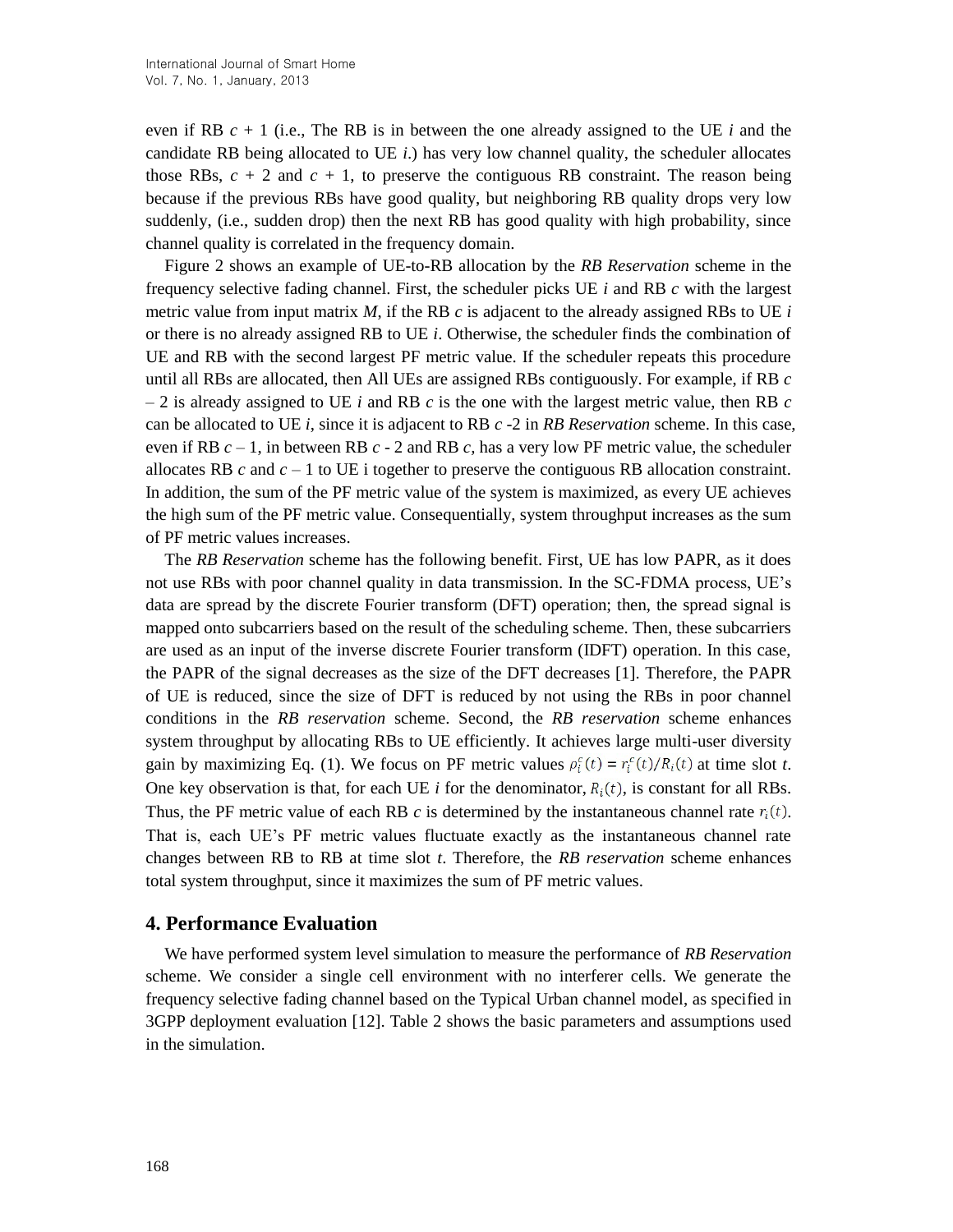even if RB *c* + 1 (i.e., The RB is in between the one already assigned to the UE *i* and the candidate RB being allocated to UE *i*.) has very low channel quality, the scheduler allocates those RBs,  $c + 2$  and  $c + 1$ , to preserve the contiguous RB constraint. The reason being because if the previous RBs have good quality, but neighboring RB quality drops very low suddenly, (i.e., sudden drop) then the next RB has good quality with high probability, since channel quality is correlated in the frequency domain.

Figure 2 shows an example of UE-to-RB allocation by the *RB Reservation* scheme in the frequency selective fading channel. First, the scheduler picks UE *i* and RB *c* with the largest metric value from input matrix *M*, if the RB *c* is adjacent to the already assigned RBs to UE *i* or there is no already assigned RB to UE *i*. Otherwise, the scheduler finds the combination of UE and RB with the second largest PF metric value. If the scheduler repeats this procedure until all RBs are allocated, then All UEs are assigned RBs contiguously. For example, if RB *c* – 2 is already assigned to UE *i* and RB *c* is the one with the largest metric value, then RB *c* can be allocated to UE *i*, since it is adjacent to RB *c* -2 in *RB Reservation* scheme. In this case, even if RB *c* – 1, in between RB *c* - 2 and RB *c,* has a very low PF metric value, the scheduler allocates RB  $c$  and  $c - 1$  to UE i together to preserve the contiguous RB allocation constraint. In addition, the sum of the PF metric value of the system is maximized, as every UE achieves the high sum of the PF metric value. Consequentially, system throughput increases as the sum of PF metric values increases.

The *RB Reservation* scheme has the following benefit. First, UE has low PAPR, as it does not use RBs with poor channel quality in data transmission. In the SC-FDMA process, UE's data are spread by the discrete Fourier transform (DFT) operation; then, the spread signal is mapped onto subcarriers based on the result of the scheduling scheme. Then, these subcarriers are used as an input of the inverse discrete Fourier transform (IDFT) operation. In this case, the PAPR of the signal decreases as the size of the DFT decreases [1]. Therefore, the PAPR of UE is reduced, since the size of DFT is reduced by not using the RBs in poor channel conditions in the *RB reservation* scheme. Second, the *RB reservation* scheme enhances system throughput by allocating RBs to UE efficiently. It achieves large multi-user diversity gain by maximizing Eq. (1). We focus on PF metric values  $\rho_i^c(t) = r_i^c(t)/R_i(t)$  at time slot *t*. One key observation is that, for each UE *i* for the denominator,  $R_i(t)$ , is constant for all RBs. Thus, the PF metric value of each RB  $c$  is determined by the instantaneous channel rate  $r_i(t)$ . That is, each UE's PF metric values fluctuate exactly as the instantaneous channel rate changes between RB to RB at time slot *t*. Therefore, the *RB reservation* scheme enhances total system throughput, since it maximizes the sum of PF metric values.

### **4. Performance Evaluation**

We have performed system level simulation to measure the performance of *RB Reservation* scheme. We consider a single cell environment with no interferer cells. We generate the frequency selective fading channel based on the Typical Urban channel model, as specified in 3GPP deployment evaluation [12]. Table 2 shows the basic parameters and assumptions used in the simulation.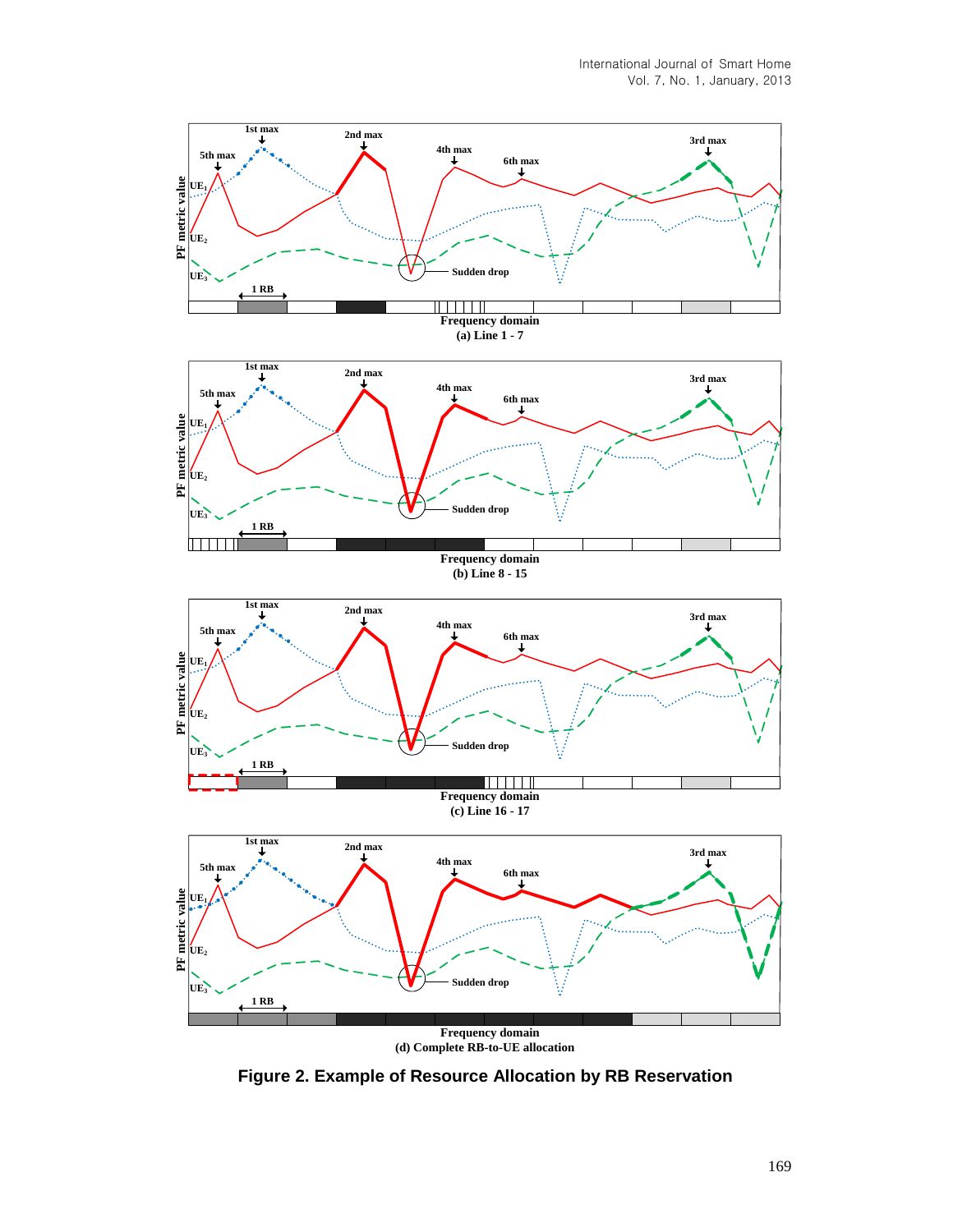

**Figure 2. Example of Resource Allocation by RB Reservation**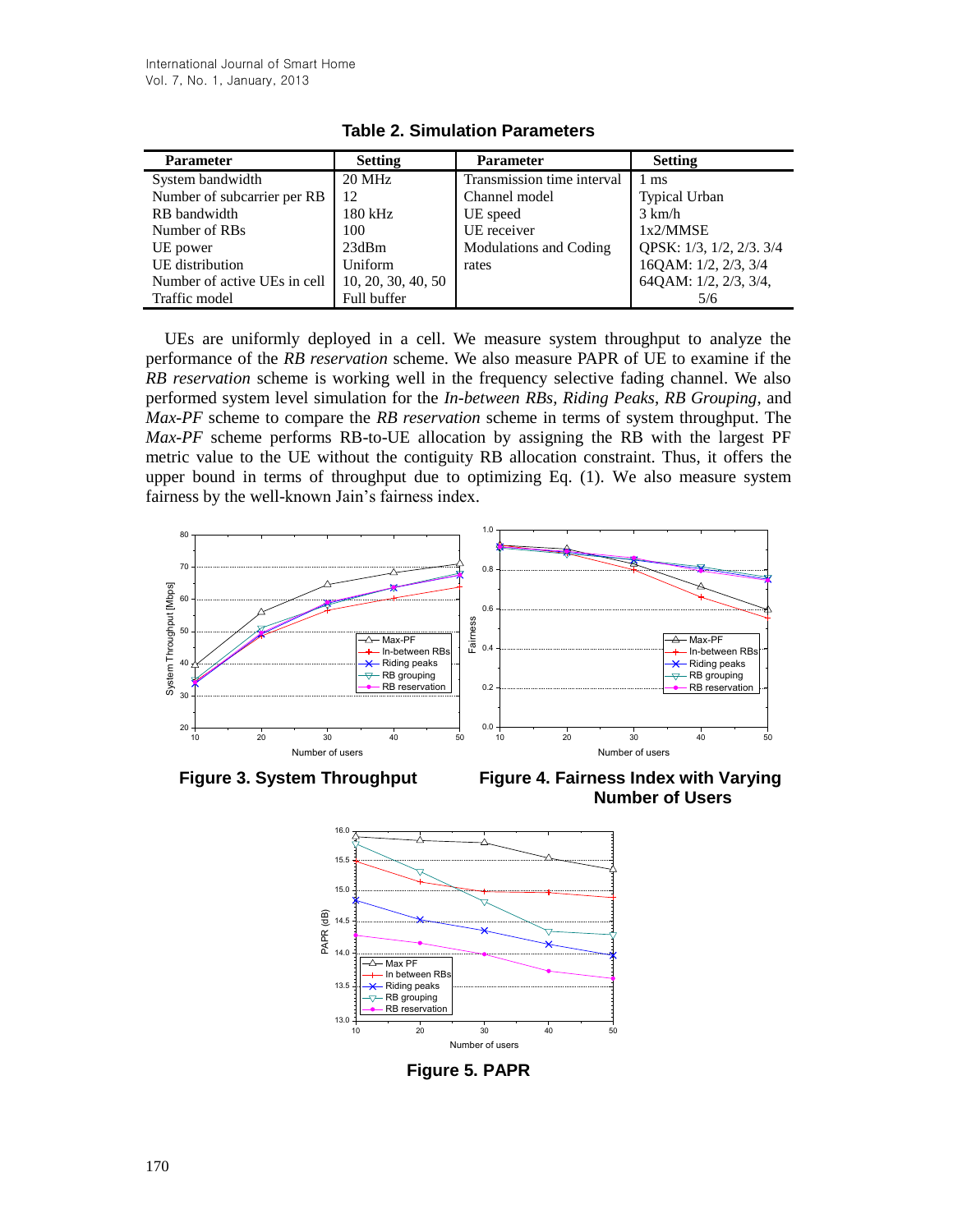| <b>Parameter</b>             | <b>Setting</b>     | <b>Parameter</b>           | <b>Setting</b>           |
|------------------------------|--------------------|----------------------------|--------------------------|
| System bandwidth             | 20 MHz             | Transmission time interval | 1 ms                     |
| Number of subcarrier per RB  | 12                 | Channel model              | <b>Typical Urban</b>     |
| RB bandwidth                 | 180 kHz            | UE speed                   | $3 \text{ km/h}$         |
| Number of RBs                | 100                | UE receiver                | 1x2/MMSE                 |
| UE power                     | 23dBm              | Modulations and Coding     | QPSK: 1/3, 1/2, 2/3. 3/4 |
| UE distribution              | Uniform            | rates                      | 16QAM: 1/2, 2/3, 3/4     |
| Number of active UEs in cell | 10, 20, 30, 40, 50 |                            | 64QAM: 1/2, 2/3, 3/4,    |
| Traffic model                | Full buffer        |                            | 5/6                      |

**Table 2. Simulation Parameters**

UEs are uniformly deployed in a cell. We measure system throughput to analyze the performance of the *RB reservation* scheme. We also measure PAPR of UE to examine if the *RB reservation* scheme is working well in the frequency selective fading channel. We also performed system level simulation for the *In-between RBs*, *Riding Peaks*, *RB Grouping*, and *Max-PF* scheme to compare the *RB reservation* scheme in terms of system throughput. The *Max-PF* scheme performs RB-to-UE allocation by assigning the RB with the largest PF metric value to the UE without the contiguity RB allocation constraint. Thus, it offers the upper bound in terms of throughput due to optimizing Eq. (1). We also measure system fairness by the well-known Jain's fairness index.



**Figure 3. System Throughput Figure 4. Fairness Index with Varying Number of Users**



**Figure 5. PAPR**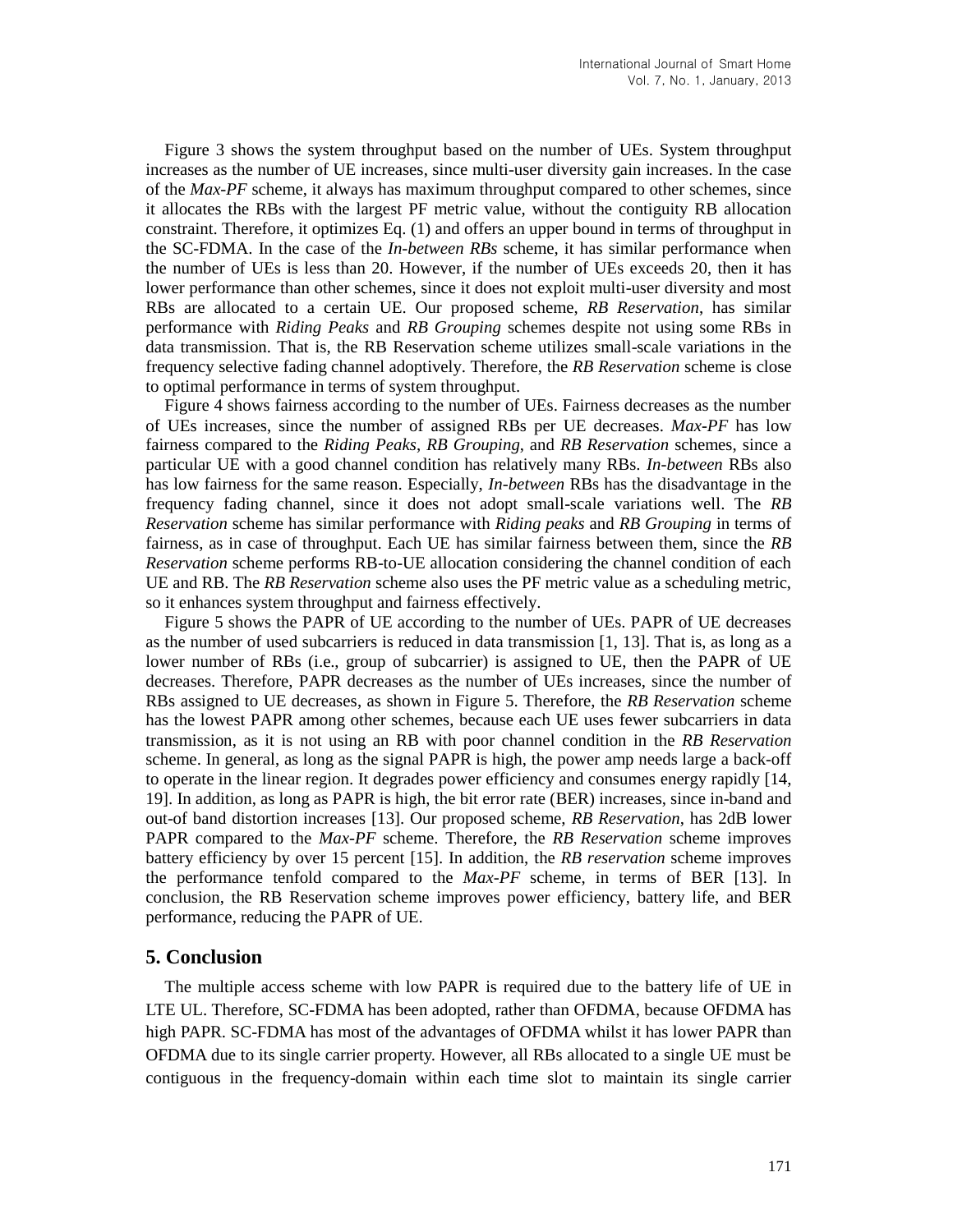Figure 3 shows the system throughput based on the number of UEs. System throughput increases as the number of UE increases, since multi-user diversity gain increases. In the case of the *Max-PF* scheme, it always has maximum throughput compared to other schemes, since it allocates the RBs with the largest PF metric value, without the contiguity RB allocation constraint. Therefore, it optimizes Eq. (1) and offers an upper bound in terms of throughput in the SC-FDMA. In the case of the *In-between RBs* scheme, it has similar performance when the number of UEs is less than 20. However, if the number of UEs exceeds 20, then it has lower performance than other schemes, since it does not exploit multi-user diversity and most RBs are allocated to a certain UE. Our proposed scheme, *RB Reservation*, has similar performance with *Riding Peaks* and *RB Grouping* schemes despite not using some RBs in data transmission. That is, the RB Reservation scheme utilizes small-scale variations in the frequency selective fading channel adoptively. Therefore, the *RB Reservation* scheme is close to optimal performance in terms of system throughput.

Figure 4 shows fairness according to the number of UEs. Fairness decreases as the number of UEs increases, since the number of assigned RBs per UE decreases. *Max-PF* has low fairness compared to the *Riding Peaks*, *RB Grouping*, and *RB Reservation* schemes, since a particular UE with a good channel condition has relatively many RBs. *In-between* RBs also has low fairness for the same reason. Especially, *In-between* RBs has the disadvantage in the frequency fading channel, since it does not adopt small-scale variations well. The *RB Reservation* scheme has similar performance with *Riding peaks* and *RB Grouping* in terms of fairness, as in case of throughput. Each UE has similar fairness between them, since the *RB Reservation* scheme performs RB-to-UE allocation considering the channel condition of each UE and RB. The *RB Reservation* scheme also uses the PF metric value as a scheduling metric, so it enhances system throughput and fairness effectively.

Figure 5 shows the PAPR of UE according to the number of UEs. PAPR of UE decreases as the number of used subcarriers is reduced in data transmission [1, 13]. That is, as long as a lower number of RBs (i.e., group of subcarrier) is assigned to UE, then the PAPR of UE decreases. Therefore, PAPR decreases as the number of UEs increases, since the number of RBs assigned to UE decreases, as shown in Figure 5. Therefore, the *RB Reservation* scheme has the lowest PAPR among other schemes, because each UE uses fewer subcarriers in data transmission, as it is not using an RB with poor channel condition in the *RB Reservation* scheme. In general, as long as the signal PAPR is high, the power amp needs large a back-off to operate in the linear region. It degrades power efficiency and consumes energy rapidly [14, 19]. In addition, as long as PAPR is high, the bit error rate (BER) increases, since in-band and out-of band distortion increases [13]. Our proposed scheme, *RB Reservation*, has 2dB lower PAPR compared to the *Max-PF* scheme. Therefore, the *RB Reservation* scheme improves battery efficiency by over 15 percent [15]. In addition, the *RB reservation* scheme improves the performance tenfold compared to the *Max-PF* scheme, in terms of BER [13]. In conclusion, the RB Reservation scheme improves power efficiency, battery life, and BER performance, reducing the PAPR of UE.

### **5. Conclusion**

The multiple access scheme with low PAPR is required due to the battery life of UE in LTE UL. Therefore, SC-FDMA has been adopted, rather than OFDMA, because OFDMA has high PAPR. SC-FDMA has most of the advantages of OFDMA whilst it has lower PAPR than OFDMA due to its single carrier property. However, all RBs allocated to a single UE must be contiguous in the frequency-domain within each time slot to maintain its single carrier